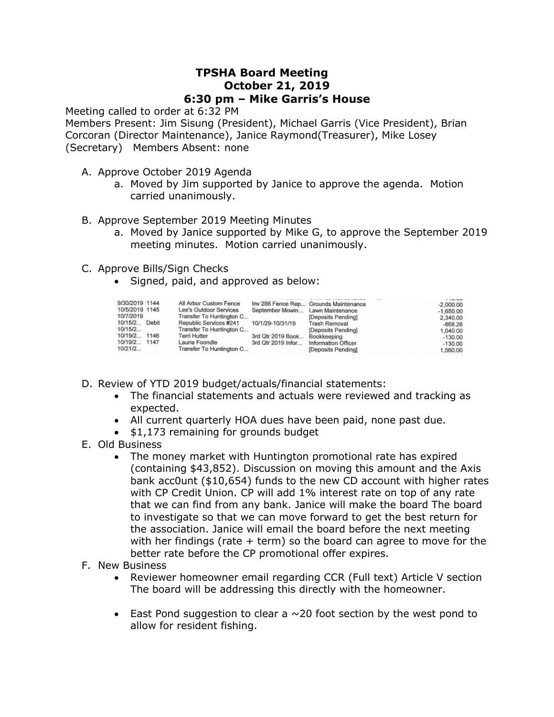## **TPSHA Board Meeting October 21, 2019 6:30 pm – Mike Garris's House**

Meeting called to order at 6:32 PM

Members Present: Jim Sisung (President), Michael Garris (Vice President), Brian Corcoran (Director Maintenance), Janice Raymond(Treasurer), Mike Losey (Secretary) Members Absent: none

- A. Approve October 2019 Agenda
	- a. Moved by Jim supported by Janice to approve the agenda. Motion carried unanimously.
- B. Approve September 2019 Meeting Minutes
	- a. Moved by Janice supported by Mike G, to approve the September 2019 meeting minutes. Motion carried unanimously.
- C. Approve Bills/Sign Checks
	- Signed, paid, and approved as below:

| 9/30/2019 1144 |      | All Arbor Custom Fence   |                                  | Inv 286 Fence Rep Grounds Maintenance | <b>CONTRACTOR</b><br>$-2,000.00$ |
|----------------|------|--------------------------|----------------------------------|---------------------------------------|----------------------------------|
| 10/5/2019 1145 |      | Lee's Outdoor Services   | September Mowin Lawn Maintenance |                                       | $-1,650.00$                      |
| 10/7/2019      |      | Transfer To Huntington C |                                  | [Deposits Pending]                    | 2,340.00                         |
| 10/15/2 Debit  |      | Republic Services #241   | 10/1/29-10/31/19                 | Trash Removal                         | $-868.26$                        |
| 10/15/2        |      | Transfer To Huntington C |                                  | [Deposits Pending]                    | 1,040.00                         |
| 10/19/2        | 1146 | Terri Hutter             | 3rd Qtr 2019 Book                | Bookkeeping                           | $-130.00$                        |
| 10/19/2        | 1147 | Laurie Foondle           | 3rd Qtr 2019 Infor               | <b>Information Officer</b>            | $-130.00$                        |
| 10/21/2        |      | Transfer To Huntington C |                                  | [Deposits Pending]                    | 1,560.00                         |

- D. Review of YTD 2019 budget/actuals/financial statements:
	- The financial statements and actuals were reviewed and tracking as expected.
	- All current quarterly HOA dues have been paid, none past due.
	- \$1,173 remaining for grounds budget
- E. Old Business
	- The money market with Huntington promotional rate has expired (containing \$43,852). Discussion on moving this amount and the Axis bank acc0unt (\$10,654) funds to the new CD account with higher rates with CP Credit Union. CP will add 1% interest rate on top of any rate that we can find from any bank. Janice will make the board The board to investigate so that we can move forward to get the best return for the association. Janice will email the board before the next meeting with her findings (rate  $+$  term) so the board can agree to move for the better rate before the CP promotional offer expires.
- F. New Business
	- Reviewer homeowner email regarding CCR (Full text) Article V section The board will be addressing this directly with the homeowner.
	- East Pond suggestion to clear a  $\sim$  20 foot section by the west pond to allow for resident fishing.